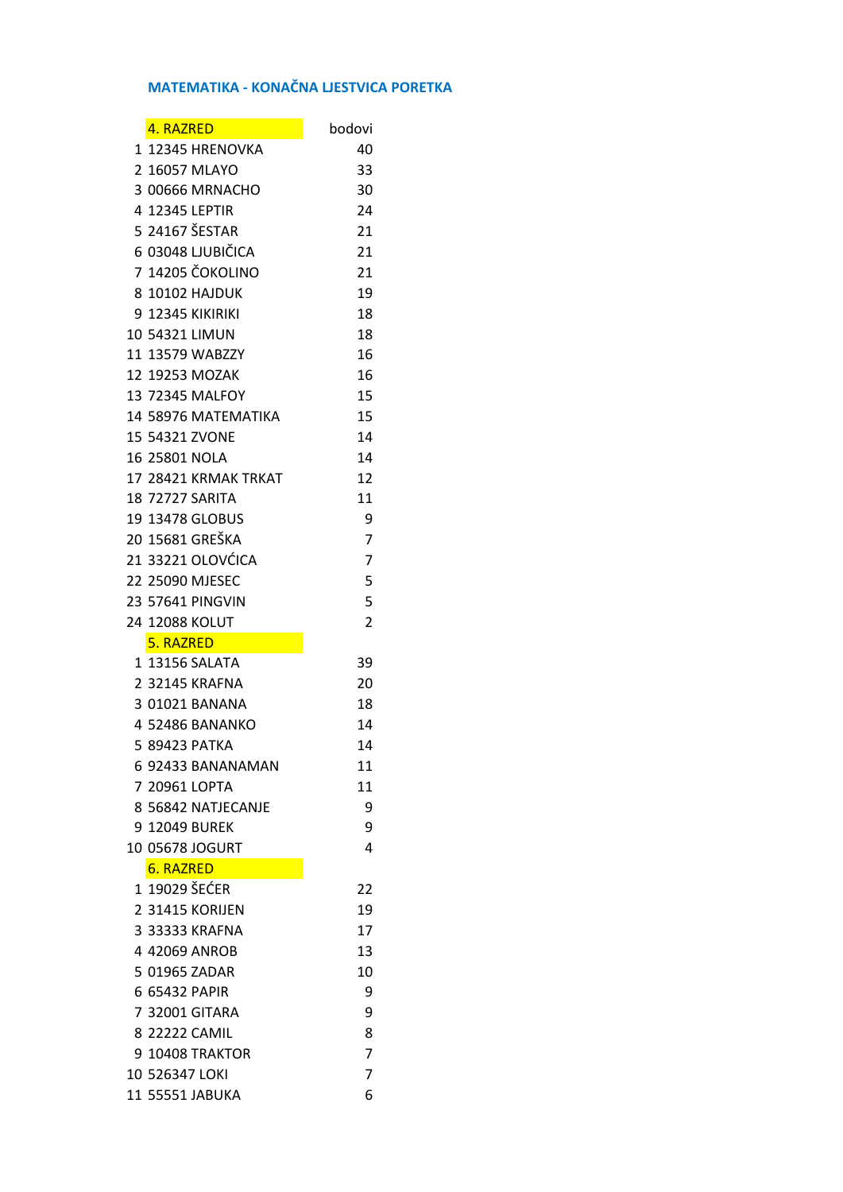## **MATEMATIKA - KONAČNA LJESTVICA PORETKA**

| 4. RAZRED              | bodovi         |
|------------------------|----------------|
| 1 12345 HRENOVKA       | 40             |
| 2 16057 MLAYO          | 33             |
| 3 00666 MRNACHO        | 30             |
| 4 12345 LEPTIR         | 24             |
| 5 24167 ŠESTAR         | 21             |
| 6 03048 LJUBIČICA      | 21             |
| 7 14205 ČOKOLINO       | 21             |
| 8 10102 HAJDUK         | 19             |
| 9 12345 KIKIRIKI       | 18             |
| 10 54321 LIMUN         | 18             |
| 11 13579 WABZZY        | 16             |
| 12 19253 MOZAK         | 16             |
| 13 72345 MALFOY        | 15             |
| 14 58976 MATEMATIKA    | 15             |
|                        |                |
| 15 54321 ZVONF         | 14             |
| 16 25801 NOLA          | 14             |
| 17 28421 KRMAK TRKAT   | 12             |
| <b>18 72727 SARITA</b> | 11             |
| <b>19 13478 GLOBUS</b> | 9              |
| 20 15681 GREŠKA        | 7              |
| 21 33221 OLOVĆICA      | 7              |
| 22 25090 MJESEC        | 5              |
| 23 57641 PINGVIN       | 5              |
| 24 12088 KOLUT         | $\overline{2}$ |
| 5. RAZRED              |                |
| 1 13156 SALATA         | 39             |
| 2 32145 KRAFNA         | 20             |
| 3 01021 BANANA         | 18             |
| 4 52486 BANANKO        | 14             |
| 5 89423 PATKA          | 14             |
| 6 92433 BANANAMAN      | 11             |
| 7 20961 LOPTA          | 11             |
| 8 56842 NATJECANJE     | 9              |
| 9 12049 BUREK          | 9              |
| 10 05678 JOGURT        | 4              |
| 6. RAZRED              |                |
| 1 19029 ŠEĆER          | 22             |
| 2 31415 KORIJEN        | 19             |
| 3 33333 KRAFNA         | 17             |
| 4 42069 ANROB          | 13             |
| 5 01965 ZADAR          | 10             |
|                        |                |
| 6 65432 PAPIR          | 9              |
| 7 32001 GITARA         | 9              |
| 8 22222 CAMIL          | 8              |
| 9 10408 TRAKTOR        | $\overline{7}$ |
| 10 526347 LOKI         | 7              |
| 11 55551 JABUKA        | 6              |